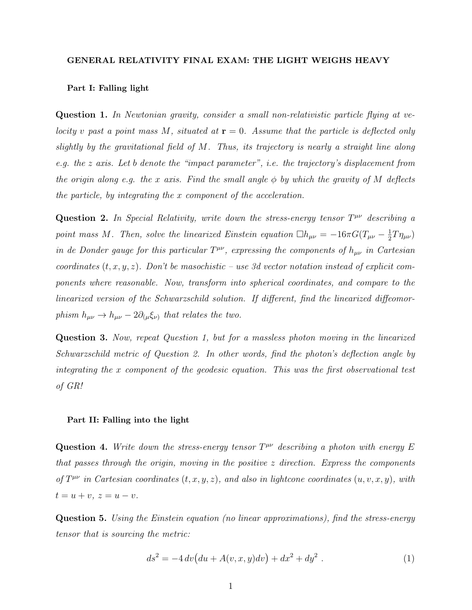## GENERAL RELATIVITY FINAL EXAM: THE LIGHT WEIGHS HEAVY

## Part I: Falling light

Question 1. In Newtonian gravity, consider a small non-relativistic particle flying at velocity v past a point mass M, situated at  $\mathbf{r} = 0$ . Assume that the particle is deflected only slightly by the gravitational field of  $M$ . Thus, its trajectory is nearly a straight line along e.g. the z axis. Let b denote the "impact parameter", i.e. the trajectory's displacement from the origin along e.g. the x axis. Find the small angle  $\phi$  by which the gravity of M deflects the particle, by integrating the x component of the acceleration.

Question 2. In Special Relativity, write down the stress-energy tensor  $T^{\mu\nu}$  describing a point mass M. Then, solve the linearized Einstein equation  $\Box h_{\mu\nu} = -16\pi G(T_{\mu\nu} - \frac{1}{2})$  $\frac{1}{2}T\eta_{\mu\nu})$ in de Donder gauge for this particular  $T^{\mu\nu}$ , expressing the components of  $h_{\mu\nu}$  in Cartesian coordinates  $(t, x, y, z)$ . Don't be masochistic – use 3d vector notation instead of explicit components where reasonable. Now, transform into spherical coordinates, and compare to the linearized version of the Schwarzschild solution. If different, find the linearized diffeomorphism  $h_{\mu\nu} \rightarrow h_{\mu\nu} - 2\partial_{(\mu}\xi_{\nu)}$  that relates the two.

Question 3. Now, repeat Question 1, but for a massless photon moving in the linearized Schwarzschild metric of Question 2. In other words, find the photon's deflection angle by integrating the x component of the geodesic equation. This was the first observational test of GR!

## Part II: Falling into the light

Question 4. Write down the stress-energy tensor  $T^{\mu\nu}$  describing a photon with energy E that passes through the origin, moving in the positive  $z$  direction. Express the components of  $T^{\mu\nu}$  in Cartesian coordinates  $(t, x, y, z)$ , and also in lightcone coordinates  $(u, v, x, y)$ , with  $t = u + v, z = u - v.$ 

Question 5. Using the Einstein equation (no linear approximations), find the stress-energy tensor that is sourcing the metric:

$$
ds^{2} = -4 dv \left( du + A(v, x, y) dv \right) + dx^{2} + dy^{2} . \qquad (1)
$$